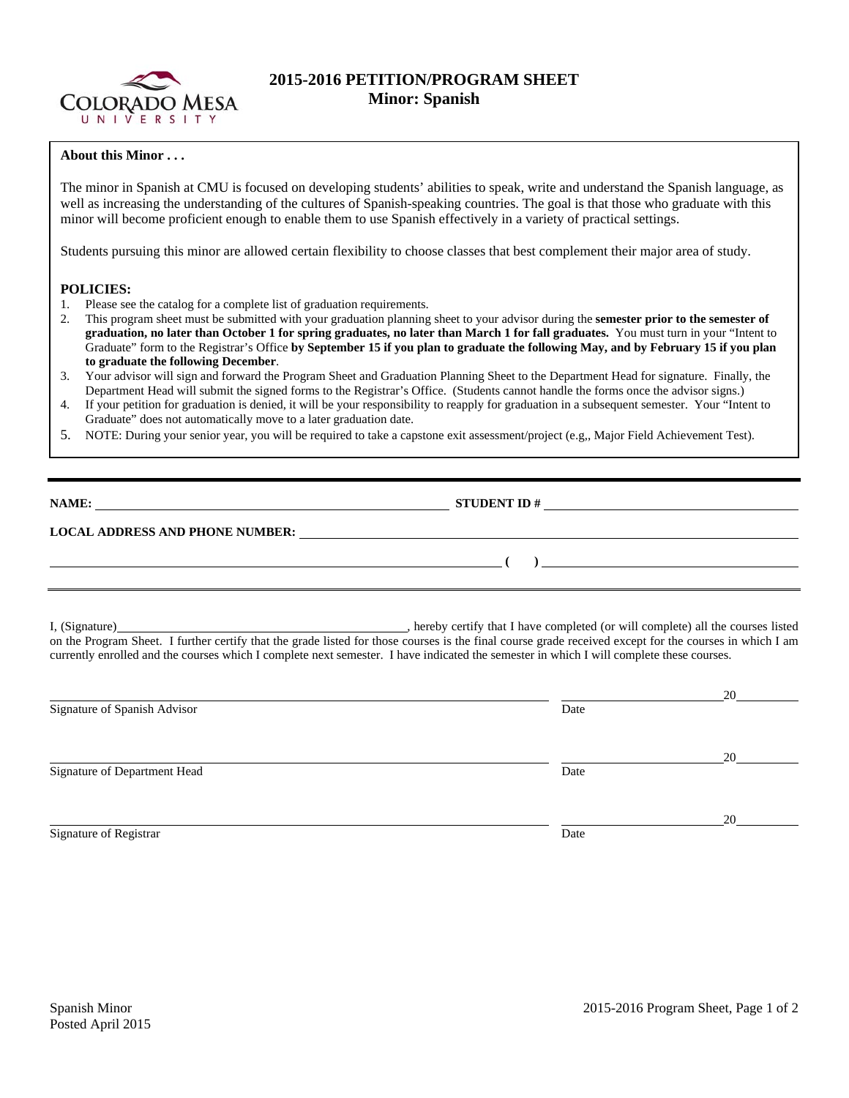

## **2015-2016 PETITION/PROGRAM SHEET Minor: Spanish**

## **About this Minor . . .**

The minor in Spanish at CMU is focused on developing students' abilities to speak, write and understand the Spanish language, as well as increasing the understanding of the cultures of Spanish-speaking countries. The goal is that those who graduate with this minor will become proficient enough to enable them to use Spanish effectively in a variety of practical settings.

Students pursuing this minor are allowed certain flexibility to choose classes that best complement their major area of study.

## **POLICIES:**

- 1. Please see the catalog for a complete list of graduation requirements.
- 2. This program sheet must be submitted with your graduation planning sheet to your advisor during the **semester prior to the semester of graduation, no later than October 1 for spring graduates, no later than March 1 for fall graduates.** You must turn in your "Intent to Graduate" form to the Registrar's Office **by September 15 if you plan to graduate the following May, and by February 15 if you plan to graduate the following December**.
- 3. Your advisor will sign and forward the Program Sheet and Graduation Planning Sheet to the Department Head for signature. Finally, the Department Head will submit the signed forms to the Registrar's Office. (Students cannot handle the forms once the advisor signs.)
- 4. If your petition for graduation is denied, it will be your responsibility to reapply for graduation in a subsequent semester. Your "Intent to Graduate" does not automatically move to a later graduation date.
- 5. NOTE: During your senior year, you will be required to take a capstone exit assessment/project (e.g,, Major Field Achievement Test).

| NAME:                                  | <b>STUDENT ID#</b> |  |
|----------------------------------------|--------------------|--|
| <b>LOCAL ADDRESS AND PHONE NUMBER:</b> |                    |  |
|                                        |                    |  |

I, (Signature) , hereby certify that I have completed (or will complete) all the courses listed on the Program Sheet. I further certify that the grade listed for those courses is the final course grade received except for the courses in which I am currently enrolled and the courses which I complete next semester. I have indicated the semester in which I will complete these courses.

|                              |      | 20 |
|------------------------------|------|----|
| Signature of Spanish Advisor | Date |    |
|                              |      |    |
|                              |      | 20 |
| Signature of Department Head | Date |    |
|                              |      |    |
|                              |      | 20 |
| Signature of Registrar       | Date |    |